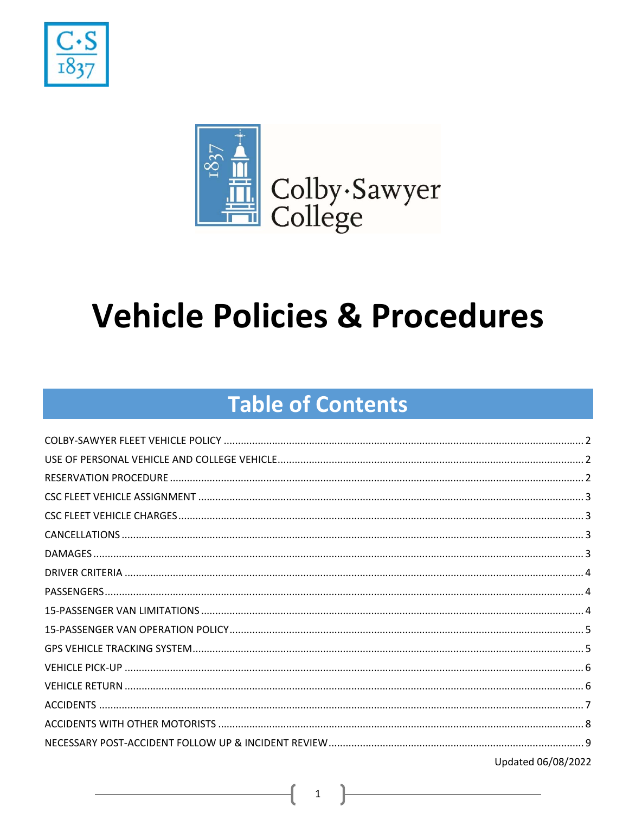



# **Vehicle Policies & Procedures**

# **Table of Contents**

| Updated 06/08/2022 |
|--------------------|

 $\mathbf{1}$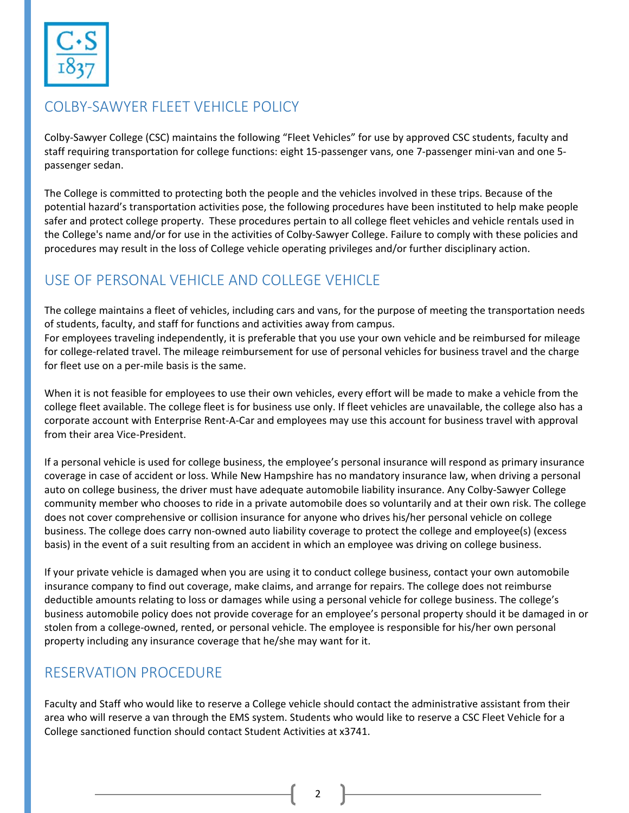

#### COLBY‐SAWYER FLEET VEHICLE POLICY

Colby‐Sawyer College (CSC) maintains the following "Fleet Vehicles" for use by approved CSC students, faculty and staff requiring transportation for college functions: eight 15‐passenger vans, one 7‐passenger mini‐van and one 5‐ passenger sedan.

The College is committed to protecting both the people and the vehicles involved in these trips. Because of the potential hazard's transportation activities pose, the following procedures have been instituted to help make people safer and protect college property. These procedures pertain to all college fleet vehicles and vehicle rentals used in the College's name and/or for use in the activities of Colby‐Sawyer College. Failure to comply with these policies and procedures may result in the loss of College vehicle operating privileges and/or further disciplinary action.

# USE OF PERSONAL VEHICLE AND COLLEGE VEHICLE

The college maintains a fleet of vehicles, including cars and vans, for the purpose of meeting the transportation needs of students, faculty, and staff for functions and activities away from campus. For employees traveling independently, it is preferable that you use your own vehicle and be reimbursed for mileage for college-related travel. The mileage reimbursement for use of personal vehicles for business travel and the charge for fleet use on a per‐mile basis is the same.

When it is not feasible for employees to use their own vehicles, every effort will be made to make a vehicle from the college fleet available. The college fleet is for business use only. If fleet vehicles are unavailable, the college also has a corporate account with Enterprise Rent‐A‐Car and employees may use this account for business travel with approval from their area Vice‐President.

If a personal vehicle is used for college business, the employee's personal insurance will respond as primary insurance coverage in case of accident or loss. While New Hampshire has no mandatory insurance law, when driving a personal auto on college business, the driver must have adequate automobile liability insurance. Any Colby‐Sawyer College community member who chooses to ride in a private automobile does so voluntarily and at their own risk. The college does not cover comprehensive or collision insurance for anyone who drives his/her personal vehicle on college business. The college does carry non‐owned auto liability coverage to protect the college and employee(s) (excess basis) in the event of a suit resulting from an accident in which an employee was driving on college business.

If your private vehicle is damaged when you are using it to conduct college business, contact your own automobile insurance company to find out coverage, make claims, and arrange for repairs. The college does not reimburse deductible amounts relating to loss or damages while using a personal vehicle for college business. The college's business automobile policy does not provide coverage for an employee's personal property should it be damaged in or stolen from a college‐owned, rented, or personal vehicle. The employee is responsible for his/her own personal property including any insurance coverage that he/she may want for it.

# RESERVATION PROCEDURE

Faculty and Staff who would like to reserve a College vehicle should contact the administrative assistant from their area who will reserve a van through the EMS system. Students who would like to reserve a CSC Fleet Vehicle for a College sanctioned function should contact Student Activities at x3741.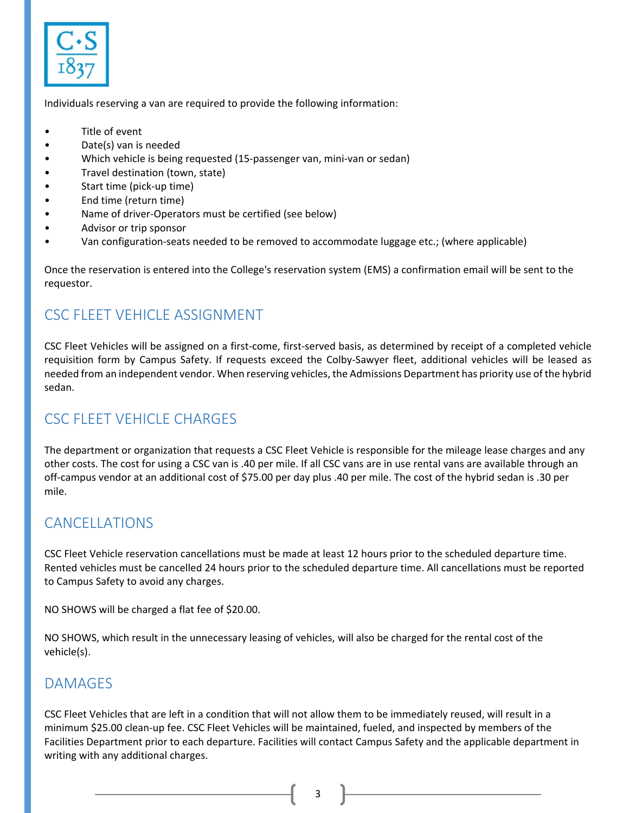

Individuals reserving a van are required to provide the following information:

- Title of event
- Date(s) van is needed
- Which vehicle is being requested (15‐passenger van, mini‐van or sedan)
- Travel destination (town, state)
- Start time (pick‐up time)
- End time (return time)
- Name of driver‐Operators must be certified (see below)
- Advisor or trip sponsor
- Van configuration‐seats needed to be removed to accommodate luggage etc.; (where applicable)

Once the reservation is entered into the College's reservation system (EMS) a confirmation email will be sent to the requestor.

#### CSC FLEET VEHICLE ASSIGNMENT

CSC Fleet Vehicles will be assigned on a first‐come, first‐served basis, as determined by receipt of a completed vehicle requisition form by Campus Safety. If requests exceed the Colby‐Sawyer fleet, additional vehicles will be leased as needed from an independent vendor. When reserving vehicles, the Admissions Department has priority use of the hybrid sedan.

# CSC FLEET VEHICLE CHARGES

The department or organization that requests a CSC Fleet Vehicle is responsible for the mileage lease charges and any other costs. The cost for using a CSC van is .40 per mile. If all CSC vans are in use rental vans are available through an off‐campus vendor at an additional cost of \$75.00 per day plus .40 per mile. The cost of the hybrid sedan is .30 per mile.

#### CANCELLATIONS

CSC Fleet Vehicle reservation cancellations must be made at least 12 hours prior to the scheduled departure time. Rented vehicles must be cancelled 24 hours prior to the scheduled departure time. All cancellations must be reported to Campus Safety to avoid any charges.

NO SHOWS will be charged a flat fee of \$20.00.

NO SHOWS, which result in the unnecessary leasing of vehicles, will also be charged for the rental cost of the vehicle(s).

#### DAMAGES

CSC Fleet Vehicles that are left in a condition that will not allow them to be immediately reused, will result in a minimum \$25.00 clean-up fee. CSC Fleet Vehicles will be maintained, fueled, and inspected by members of the Facilities Department prior to each departure. Facilities will contact Campus Safety and the applicable department in writing with any additional charges.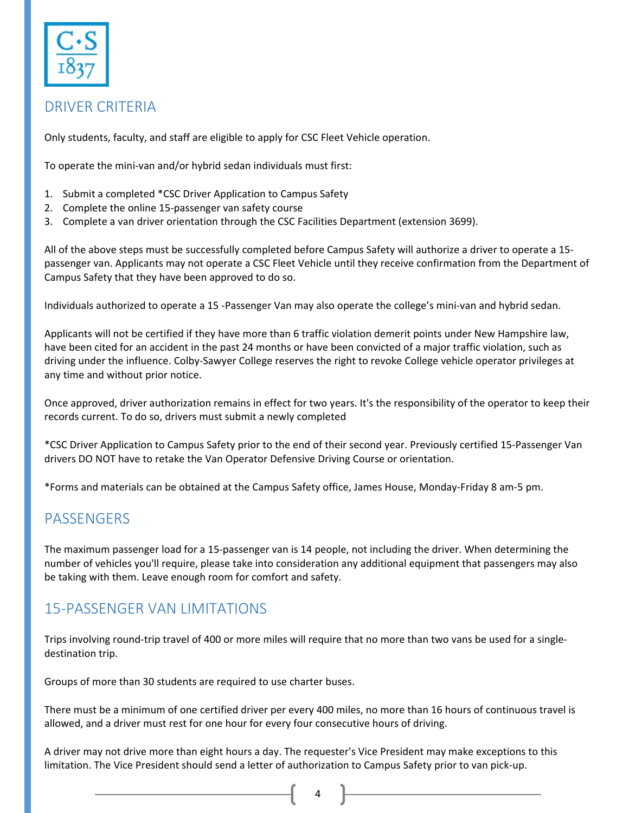

#### DRIVER CRITERIA

Only students, faculty, and staff are eligible to apply for CSC Fleet Vehicle operation.

To operate the mini-van and/or hybrid sedan individuals must first:

- 1. Submit a completed \*CSC Driver Application to Campus Safety
- 2. Complete the online 15‐passenger van safety course
- 3. Complete a van driver orientation through the CSC Facilities Department (extension 3699).

All of the above steps must be successfully completed before Campus Safety will authorize a driver to operate a 15‐ passenger van. Applicants may not operate a CSC Fleet Vehicle until they receive confirmation from the Department of Campus Safety that they have been approved to do so.

Individuals authorized to operate a 15 ‐Passenger Van may also operate the college's mini‐van and hybrid sedan.

Applicants will not be certified if they have more than 6 traffic violation demerit points under New Hampshire law, have been cited for an accident in the past 24 months or have been convicted of a major traffic violation, such as driving under the influence. Colby‐Sawyer College reserves the right to revoke College vehicle operator privileges at any time and without prior notice.

Once approved, driver authorization remains in effect for two years. It's the responsibility of the operator to keep their records current. To do so, drivers must submit a newly completed

\*CSC Driver Application to Campus Safety prior to the end of their second year. Previously certified 15‐Passenger Van drivers DO NOT have to retake the Van Operator Defensive Driving Course or orientation.

\*Forms and materials can be obtained at the Campus Safety office, James House, Monday‐Friday 8 am‐5 pm.

#### **PASSENGERS**

The maximum passenger load for a 15‐passenger van is 14 people, not including the driver. When determining the number of vehicles you'll require, please take into consideration any additional equipment that passengers may also be taking with them. Leave enough room for comfort and safety.

#### 15‐PASSENGER VAN LIMITATIONS

Trips involving round‐trip travel of 400 or more miles will require that no more than two vans be used for a single‐ destination trip.

Groups of more than 30 students are required to use charter buses.

There must be a minimum of one certified driver per every 400 miles, no more than 16 hours of continuous travel is allowed, and a driver must rest for one hour for every four consecutive hours of driving.

A driver may not drive more than eight hours a day. The requester's Vice President may make exceptions to this limitation. The Vice President should send a letter of authorization to Campus Safety prior to van pick‐up.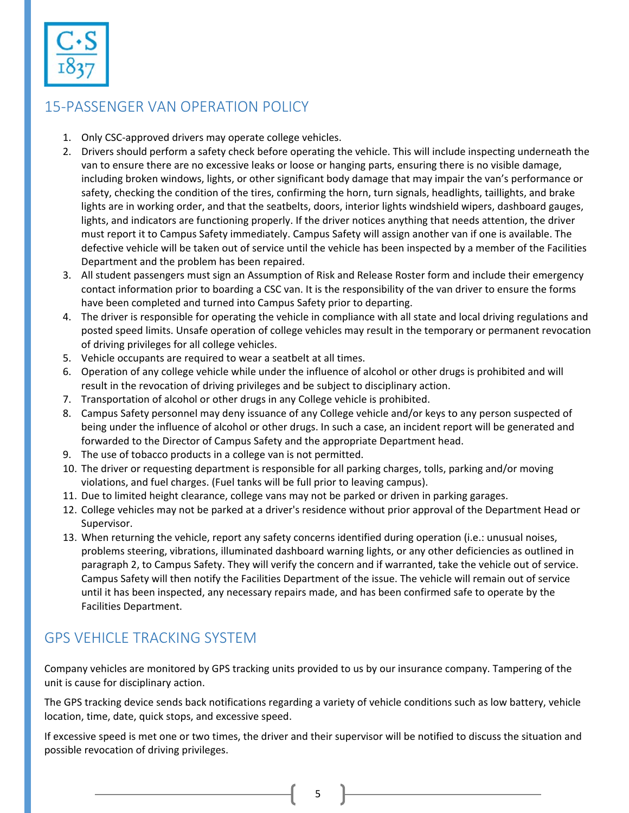

# 15‐PASSENGER VAN OPERATION POLICY

- 1. Only CSC-approved drivers may operate college vehicles.
- 2. Drivers should perform a safety check before operating the vehicle. This will include inspecting underneath the van to ensure there are no excessive leaks or loose or hanging parts, ensuring there is no visible damage, including broken windows, lights, or other significant body damage that may impair the van's performance or safety, checking the condition of the tires, confirming the horn, turn signals, headlights, taillights, and brake lights are in working order, and that the seatbelts, doors, interior lights windshield wipers, dashboard gauges, lights, and indicators are functioning properly. If the driver notices anything that needs attention, the driver must report it to Campus Safety immediately. Campus Safety will assign another van if one is available. The defective vehicle will be taken out of service until the vehicle has been inspected by a member of the Facilities Department and the problem has been repaired.
- 3. All student passengers must sign an Assumption of Risk and Release Roster form and include their emergency contact information prior to boarding a CSC van. It is the responsibility of the van driver to ensure the forms have been completed and turned into Campus Safety prior to departing.
- 4. The driver is responsible for operating the vehicle in compliance with all state and local driving regulations and posted speed limits. Unsafe operation of college vehicles may result in the temporary or permanent revocation of driving privileges for all college vehicles.
- 5. Vehicle occupants are required to wear a seatbelt at all times.
- 6. Operation of any college vehicle while under the influence of alcohol or other drugs is prohibited and will result in the revocation of driving privileges and be subject to disciplinary action.
- 7. Transportation of alcohol or other drugs in any College vehicle is prohibited.
- 8. Campus Safety personnel may deny issuance of any College vehicle and/or keys to any person suspected of being under the influence of alcohol or other drugs. In such a case, an incident report will be generated and forwarded to the Director of Campus Safety and the appropriate Department head.
- 9. The use of tobacco products in a college van is not permitted.
- 10. The driver or requesting department is responsible for all parking charges, tolls, parking and/or moving violations, and fuel charges. (Fuel tanks will be full prior to leaving campus).
- 11. Due to limited height clearance, college vans may not be parked or driven in parking garages.
- 12. College vehicles may not be parked at a driver's residence without prior approval of the Department Head or Supervisor.
- 13. When returning the vehicle, report any safety concerns identified during operation (i.e.: unusual noises, problems steering, vibrations, illuminated dashboard warning lights, or any other deficiencies as outlined in paragraph 2, to Campus Safety. They will verify the concern and if warranted, take the vehicle out of service. Campus Safety will then notify the Facilities Department of the issue. The vehicle will remain out of service until it has been inspected, any necessary repairs made, and has been confirmed safe to operate by the Facilities Department.

#### GPS VEHICLE TRACKING SYSTEM

Company vehicles are monitored by GPS tracking units provided to us by our insurance company. Tampering of the unit is cause for disciplinary action.

The GPS tracking device sends back notifications regarding a variety of vehicle conditions such as low battery, vehicle location, time, date, quick stops, and excessive speed.

If excessive speed is met one or two times, the driver and their supervisor will be notified to discuss the situation and possible revocation of driving privileges.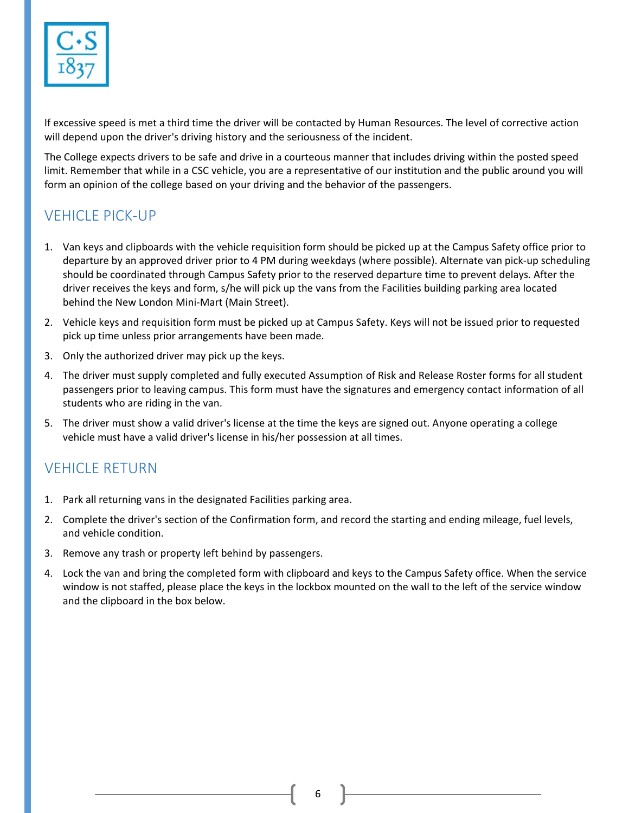

If excessive speed is met a third time the driver will be contacted by Human Resources. The level of corrective action will depend upon the driver's driving history and the seriousness of the incident.

The College expects drivers to be safe and drive in a courteous manner that includes driving within the posted speed limit. Remember that while in a CSC vehicle, you are a representative of our institution and the public around you will form an opinion of the college based on your driving and the behavior of the passengers.

# VEHICLE PICK‐UP

- 1. Van keys and clipboards with the vehicle requisition form should be picked up at the Campus Safety office prior to departure by an approved driver prior to 4 PM during weekdays (where possible). Alternate van pick‐up scheduling should be coordinated through Campus Safety prior to the reserved departure time to prevent delays. After the driver receives the keys and form, s/he will pick up the vans from the Facilities building parking area located behind the New London Mini‐Mart (Main Street).
- 2. Vehicle keys and requisition form must be picked up at Campus Safety. Keys will not be issued prior to requested pick up time unless prior arrangements have been made.
- 3. Only the authorized driver may pick up the keys.
- 4. The driver must supply completed and fully executed Assumption of Risk and Release Roster forms for all student passengers prior to leaving campus. This form must have the signatures and emergency contact information of all students who are riding in the van.
- 5. The driver must show a valid driver's license at the time the keys are signed out. Anyone operating a college vehicle must have a valid driver's license in his/her possession at all times.

#### **VEHICLE RETURN**

- 1. Park all returning vans in the designated Facilities parking area.
- 2. Complete the driver's section of the Confirmation form, and record the starting and ending mileage, fuel levels, and vehicle condition.
- 3. Remove any trash or property left behind by passengers.
- 4. Lock the van and bring the completed form with clipboard and keys to the Campus Safety office. When the service window is not staffed, please place the keys in the lockbox mounted on the wall to the left of the service window and the clipboard in the box below.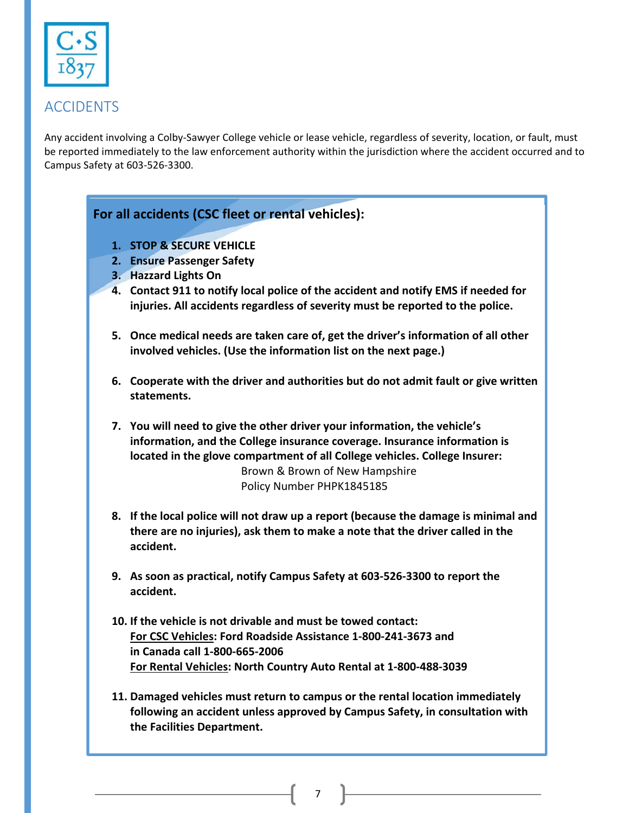

#### ACCIDENTS

Any accident involving a Colby‐Sawyer College vehicle or lease vehicle, regardless of severity, location, or fault, must be reported immediately to the law enforcement authority within the jurisdiction where the accident occurred and to Campus Safety at 603‐526‐3300.

#### **For all accidents (CSC fleet or rental vehicles):**

- **1. STOP & SECURE VEHICLE**
- **2. Ensure Passenger Safety**
- **3. Hazzard Lights On**
- **4. Contact 911 to notify local police of the accident and notify EMS if needed for injuries. All accidents regardless of severity must be reported to the police.**
- **5. Once medical needs are taken care of, get the driver's information of all other involved vehicles. (Use the information list on the next page.)**
- **6. Cooperate with the driver and authorities but do not admit fault or give written statements.**
- **7. You will need to give the other driver your information, the vehicle's information, and the College insurance coverage. Insurance information is located in the glove compartment of all College vehicles. College Insurer:**  Brown & Brown of New Hampshire Policy Number PHPK1845185
- **8. If the local police will not draw up a report (because the damage is minimal and there are no injuries), ask them to make a note that the driver called in the accident.**
- **9. As soon as practical, notify Campus Safety at 603‐526‐3300 to report the accident.**
- **10. If the vehicle is not drivable and must be towed contact: For CSC Vehicles: Ford Roadside Assistance 1‐800‐241‐3673 and in Canada call 1‐800‐665‐2006 For Rental Vehicles: North Country Auto Rental at 1‐800‐488‐3039**
- **11. Damaged vehicles must return to campus or the rental location immediately following an accident unless approved by Campus Safety, in consultation with the Facilities Department.**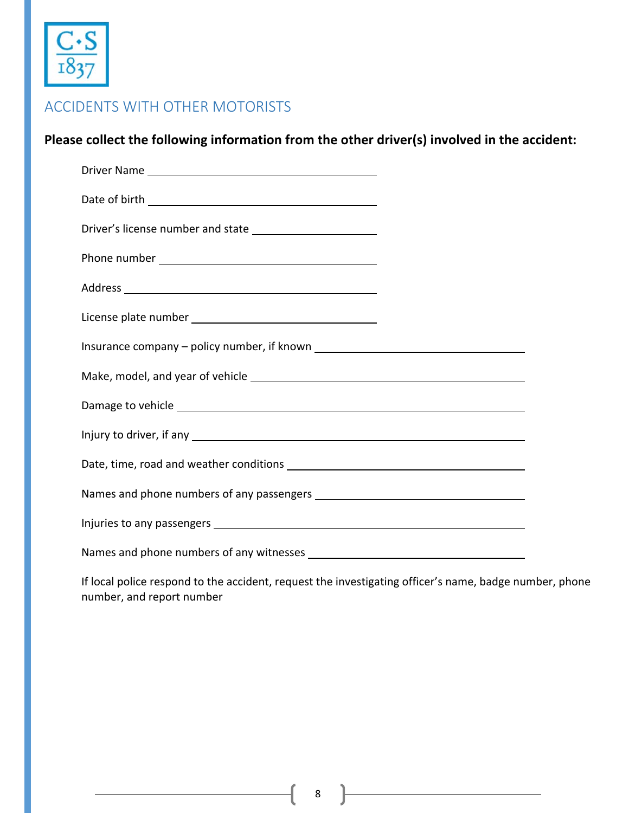

#### ACCIDENTS WITH OTHER MOTORISTS

**Please collect the following information from the other driver(s) involved in the accident:** 

| Damage to vehicle example and the state of the state of the state of the state of the state of the state of the state of the state of the state of the state of the state of the state of the state of the state of the state |  |
|-------------------------------------------------------------------------------------------------------------------------------------------------------------------------------------------------------------------------------|--|
|                                                                                                                                                                                                                               |  |
|                                                                                                                                                                                                                               |  |
|                                                                                                                                                                                                                               |  |
|                                                                                                                                                                                                                               |  |
|                                                                                                                                                                                                                               |  |

If local police respond to the accident, request the investigating officer's name, badge number, phone number, and report number